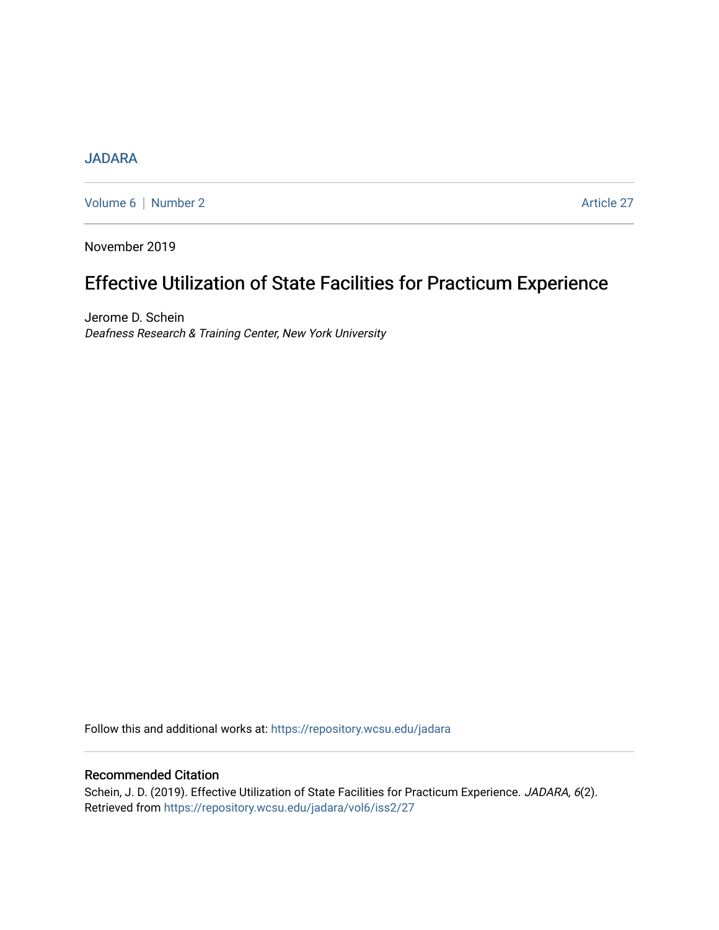## [JADARA](https://repository.wcsu.edu/jadara)

[Volume 6](https://repository.wcsu.edu/jadara/vol6) | [Number 2](https://repository.wcsu.edu/jadara/vol6/iss2) Article 27

November 2019

# Effective Utilization of State Facilities for Practicum Experience

Jerome D. Schein Deafness Research & Training Center, New York University

Follow this and additional works at: [https://repository.wcsu.edu/jadara](https://repository.wcsu.edu/jadara?utm_source=repository.wcsu.edu%2Fjadara%2Fvol6%2Fiss2%2F27&utm_medium=PDF&utm_campaign=PDFCoverPages)

### Recommended Citation

Schein, J. D. (2019). Effective Utilization of State Facilities for Practicum Experience. JADARA, 6(2). Retrieved from [https://repository.wcsu.edu/jadara/vol6/iss2/27](https://repository.wcsu.edu/jadara/vol6/iss2/27?utm_source=repository.wcsu.edu%2Fjadara%2Fvol6%2Fiss2%2F27&utm_medium=PDF&utm_campaign=PDFCoverPages)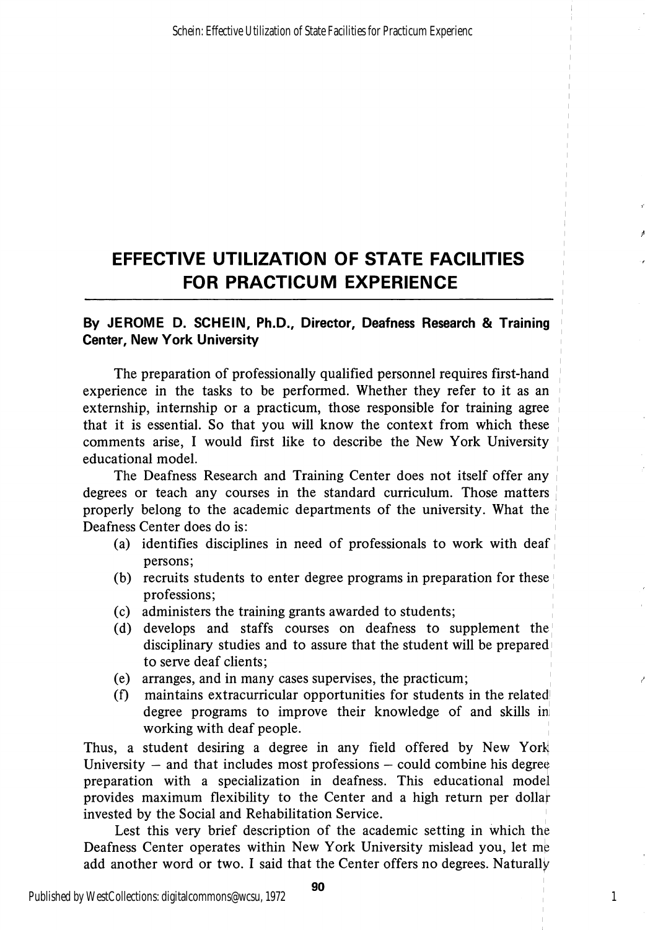# EFFECTIVE UTILIZATION OF STATE FACILITIES FOR PRACTICUM EXPERIENCE

### By JEROME D. SCHEIN, Ph.D., Director, Deafness Research & Training Center, New York University

The preparation of professionally qualified personnel requires first-hand experience in the tasks to be performed. Whether they refer to it as an extemship, internship or a practicum, those responsible for training agree that it is essential. So that you will know the context from which these comments arise, I would first like to describe the New York University educational model.

The Deafness Research and Training Center does not itself offer any degrees or teach any courses in the standard curriculum. Those matters properly belong to the academic departments of the university. What the Deafness Center does do is:

- (a) identifies disciplines in need of professionals to work with deaf persons;
- (b) recruits students to enter degree programs in preparation for these professions;
- (c) administers the training grants awarded to students;
- (d) develops and staffs courses on deafness to supplement the disciplinary studies and to assure that the student will be prepared to serve deaf clients;
- (e) arranges, and in many cases supervises, the practicum;
- (f) maintains extracurricular opportunities for students in the related degree programs to improve their knowledge of and skills in working with deaf people.

Thus, a student desiring a degree in any field offered by New York University  $-$  and that includes most professions  $-$  could combine his degree preparation with a specialization in deafness. This educational model provides maximum flexibility to the Center and a high return per dollar invested by the Social and Rehabilitation Service.

Lest this very brief description of the academic setting in which the Deafness Center operates within New York University mislead you, let me add another word or two. I said that the Center offers no degrees. Naturally

1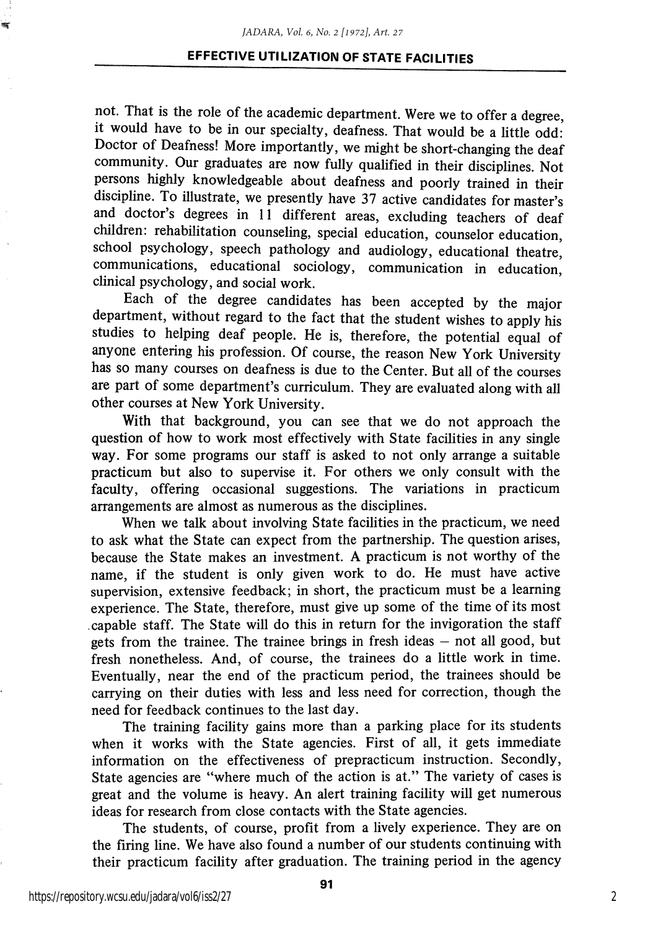#### EFFECTIVE UTILIZATION OF STATE FACILITIES

not. That is the role of the academic department. Were we to offer a degree, it would have to be in our specialty, deafness. That would be a little odd: Doctor of Deafness! More importantly, we might be short-changing the deaf community. Our graduates are now fully qualified in their disciplines. Not persons highly knowledgeable about deafness and poorly trained in their discipline. To illustrate, we presently have 37 active candidates for master's and doctor's degrees in 11 different areas, excluding teachers of deaf children: rehabilitation counseling, special education, counselor education, school psychology, speech pathology and audiology, educational theatre, communications, educational sociology, communication in education, clinical psychology, and social work.

Each of the degree candidates has been accepted by the major department, without regard to the fact that the student wishes to apply his studies to helping deaf people. He is, therefore, the potential equal of anyone entering his profession. Of course, the reason New York University has so many courses on deafness is due to the Center. But all of the courses are part of some department's curriculum. They are evaluated along with all other courses at New York University.

With that background, you can see that we do not approach the question of how to work most effectively with State facilities in any single way. For some programs our staff is asked to not only arrange a suitable practicum but also to supervise it. For others we only consult with the faculty, offering occasional suggestions. The variations in practicum arrangements are almost as numerous as the disciplines.

When we talk about involving State facilities in the practicum, we need to ask what the State can expect from the partnership. The question arises, because the State makes an investment. A practicum is not worthy of the name, if the student is only given work to do. He must have active supervision, extensive feedback; in short, the practicum must be a learning experience. The State, therefore, must give up some of the time of its most capable staff. The State will do this in return for the invigoration the staff gets from the trainee. The trainee brings in fresh ideas — not all good, but fresh nonetheless. And, of course, the trainees do a little work in time. Eventually, near the end of the practicum period, the trainees should be carrying on their duties with less and less need for correction, though the need for feedback continues to the last day.

The training facility gains more than a parking place for its students when it works with the State agencies. First of all, it gets immediate information on the effectiveness of prepracticum instruction. Secondly, State agencies are "where much of the action is at." The variety of cases is great and the volume is heavy. An alert training facility will get numerous ideas for research from close contacts with the State agencies.

The students, of course, profit from a lively experience. They are on the firing line. We have also found a number of our students continuing with their practicum facility after graduation. The training period in the agency

.<br>M